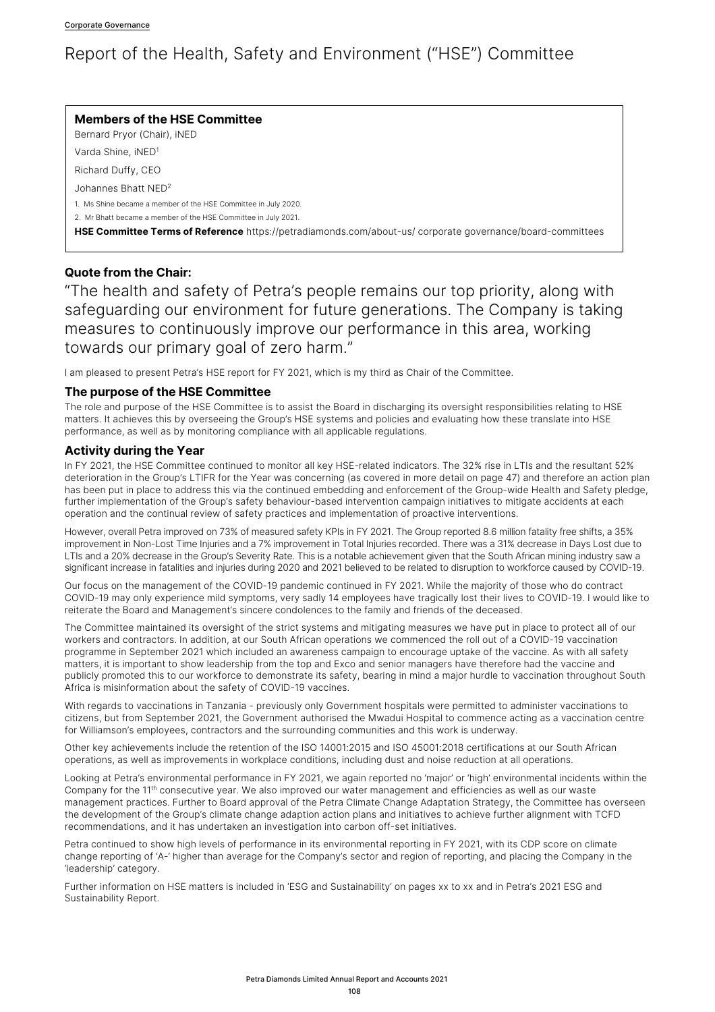# Report of the Health, Safety and Environment ("HSE") Committee

## **Members of the HSE Committee**

Bernard Pryor (Chair), iNED

Varda Shine, iNED1

Richard Duffy, CEO

Johannes Bhatt NED2

1. Ms Shine became a member of the HSE Committee in July 2020.

2. Mr Bhatt became a member of the HSE Committee in July 2021.

**HSE Committee Terms of Reference** https://petradiamonds.com/about-us/ corporate governance/board-committees

# **Quote from the Chair:**

"The health and safety of Petra's people remains our top priority, along with safeguarding our environment for future generations. The Company is taking measures to continuously improve our performance in this area, working towards our primary goal of zero harm."

I am pleased to present Petra's HSE report for FY 2021, which is my third as Chair of the Committee.

## **The purpose of the HSE Committee**

The role and purpose of the HSE Committee is to assist the Board in discharging its oversight responsibilities relating to HSE matters. It achieves this by overseeing the Group's HSE systems and policies and evaluating how these translate into HSE performance, as well as by monitoring compliance with all applicable regulations.

## **Activity during the Year**

In FY 2021, the HSE Committee continued to monitor all key HSE-related indicators. The 32% rise in LTIs and the resultant 52% deterioration in the Group's LTIFR for the Year was concerning (as covered in more detail on page 47) and therefore an action plan has been put in place to address this via the continued embedding and enforcement of the Group-wide Health and Safety pledge, further implementation of the Group's safety behaviour-based intervention campaign initiatives to mitigate accidents at each operation and the continual review of safety practices and implementation of proactive interventions.

However, overall Petra improved on 73% of measured safety KPIs in FY 2021. The Group reported 8.6 million fatality free shifts, a 35% improvement in Non-Lost Time Injuries and a 7% improvement in Total Injuries recorded. There was a 31% decrease in Days Lost due to LTIs and a 20% decrease in the Group's Severity Rate. This is a notable achievement given that the South African mining industry saw a significant increase in fatalities and injuries during 2020 and 2021 believed to be related to disruption to workforce caused by COVID-19.

Our focus on the management of the COVID-19 pandemic continued in FY 2021. While the majority of those who do contract COVID-19 may only experience mild symptoms, very sadly 14 employees have tragically lost their lives to COVID-19. I would like to reiterate the Board and Management's sincere condolences to the family and friends of the deceased.

The Committee maintained its oversight of the strict systems and mitigating measures we have put in place to protect all of our workers and contractors. In addition, at our South African operations we commenced the roll out of a COVID-19 vaccination programme in September 2021 which included an awareness campaign to encourage uptake of the vaccine. As with all safety matters, it is important to show leadership from the top and Exco and senior managers have therefore had the vaccine and publicly promoted this to our workforce to demonstrate its safety, bearing in mind a major hurdle to vaccination throughout South Africa is misinformation about the safety of COVID-19 vaccines.

With regards to vaccinations in Tanzania - previously only Government hospitals were permitted to administer vaccinations to citizens, but from September 2021, the Government authorised the Mwadui Hospital to commence acting as a vaccination centre for Williamson's employees, contractors and the surrounding communities and this work is underway.

Other key achievements include the retention of the ISO 14001:2015 and ISO 45001:2018 certifications at our South African operations, as well as improvements in workplace conditions, including dust and noise reduction at all operations.

Looking at Petra's environmental performance in FY 2021, we again reported no 'major' or 'high' environmental incidents within the Company for the 11<sup>th</sup> consecutive year. We also improved our water management and efficiencies as well as our waste management practices. Further to Board approval of the Petra Climate Change Adaptation Strategy, the Committee has overseen the development of the Group's climate change adaption action plans and initiatives to achieve further alignment with TCFD recommendations, and it has undertaken an investigation into carbon off-set initiatives.

Petra continued to show high levels of performance in its environmental reporting in FY 2021, with its CDP score on climate change reporting of 'A-' higher than average for the Company's sector and region of reporting, and placing the Company in the 'leadership' category.

Further information on HSE matters is included in 'ESG and Sustainability' on pages xx to xx and in Petra's 2021 ESG and Sustainability Report.